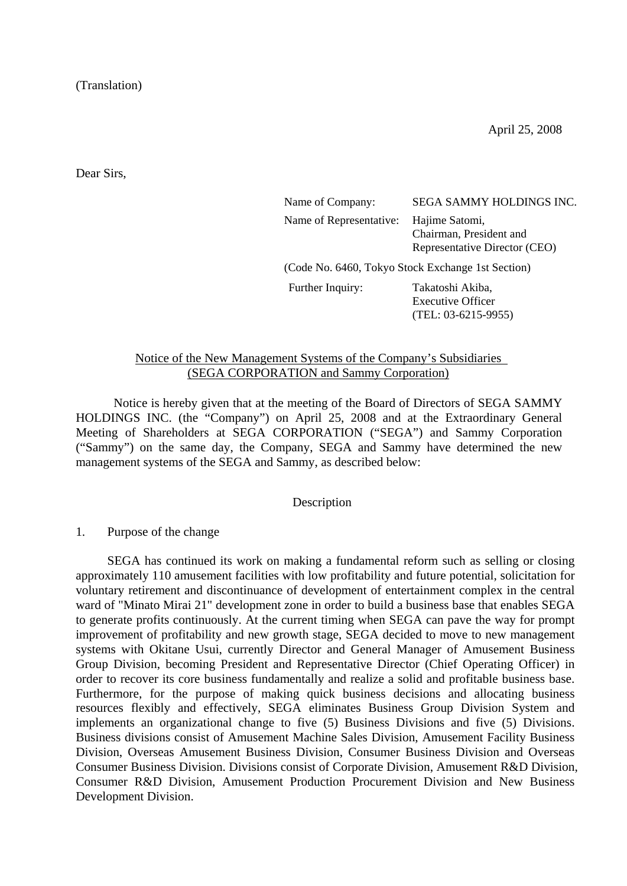(Translation)

April 25, 2008

Dear Sirs,

| Name of Company:                                  | SEGA SAMMY HOLDINGS INC.                                                   |
|---------------------------------------------------|----------------------------------------------------------------------------|
| Name of Representative:                           | Hajime Satomi,<br>Chairman, President and<br>Representative Director (CEO) |
| (Code No. 6460, Tokyo Stock Exchange 1st Section) |                                                                            |
| Further Inquiry:                                  | Takatoshi Akiba,<br><b>Executive Officer</b><br>$(TEL: 03-6215-9955)$      |

### Notice of the New Management Systems of the Company's Subsidiaries (SEGA CORPORATION and Sammy Corporation)

 Notice is hereby given that at the meeting of the Board of Directors of SEGA SAMMY HOLDINGS INC. (the "Company") on April 25, 2008 and at the Extraordinary General Meeting of Shareholders at SEGA CORPORATION ("SEGA") and Sammy Corporation ("Sammy") on the same day, the Company, SEGA and Sammy have determined the new management systems of the SEGA and Sammy, as described below:

#### Description

#### 1. Purpose of the change

 SEGA has continued its work on making a fundamental reform such as selling or closing approximately 110 amusement facilities with low profitability and future potential, solicitation for voluntary retirement and discontinuance of development of entertainment complex in the central ward of "Minato Mirai 21" development zone in order to build a business base that enables SEGA to generate profits continuously. At the current timing when SEGA can pave the way for prompt improvement of profitability and new growth stage, SEGA decided to move to new management systems with Okitane Usui, currently Director and General Manager of Amusement Business Group Division, becoming President and Representative Director (Chief Operating Officer) in order to recover its core business fundamentally and realize a solid and profitable business base. Furthermore, for the purpose of making quick business decisions and allocating business resources flexibly and effectively, SEGA eliminates Business Group Division System and implements an organizational change to five (5) Business Divisions and five (5) Divisions. Business divisions consist of Amusement Machine Sales Division, Amusement Facility Business Division, Overseas Amusement Business Division, Consumer Business Division and Overseas Consumer Business Division. Divisions consist of Corporate Division, Amusement R&D Division, Consumer R&D Division, Amusement Production Procurement Division and New Business Development Division.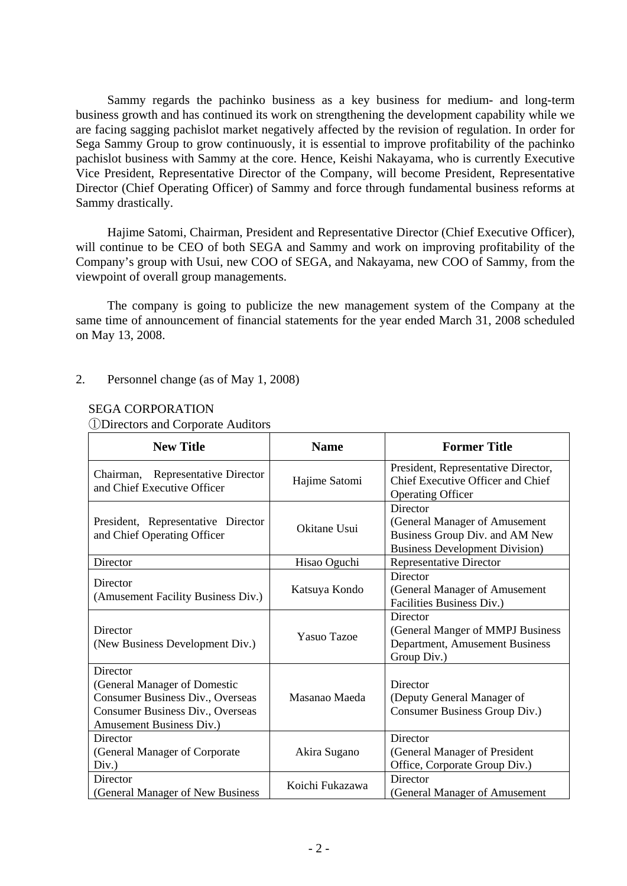Sammy regards the pachinko business as a key business for medium- and long-term business growth and has continued its work on strengthening the development capability while we are facing sagging pachislot market negatively affected by the revision of regulation. In order for Sega Sammy Group to grow continuously, it is essential to improve profitability of the pachinko pachislot business with Sammy at the core. Hence, Keishi Nakayama, who is currently Executive Vice President, Representative Director of the Company, will become President, Representative Director (Chief Operating Officer) of Sammy and force through fundamental business reforms at Sammy drastically.

 Hajime Satomi, Chairman, President and Representative Director (Chief Executive Officer), will continue to be CEO of both SEGA and Sammy and work on improving profitability of the Company's group with Usui, new COO of SEGA, and Nakayama, new COO of Sammy, from the viewpoint of overall group managements.

 The company is going to publicize the new management system of the Company at the same time of announcement of financial statements for the year ended March 31, 2008 scheduled on May 13, 2008.

#### 2. Personnel change (as of May 1, 2008)

#### SEGA CORPORATION

①Directors and Corporate Auditors

| <b>New Title</b>                                                                                                                             | <b>Name</b>        | <b>Former Title</b>                                                                                                  |
|----------------------------------------------------------------------------------------------------------------------------------------------|--------------------|----------------------------------------------------------------------------------------------------------------------|
| Chairman, Representative Director<br>and Chief Executive Officer                                                                             | Hajime Satomi      | President, Representative Director,<br>Chief Executive Officer and Chief<br><b>Operating Officer</b>                 |
| President, Representative Director<br>and Chief Operating Officer                                                                            | Okitane Usui       | Director<br>(General Manager of Amusement<br>Business Group Div. and AM New<br><b>Business Development Division)</b> |
| Director                                                                                                                                     | Hisao Oguchi       | <b>Representative Director</b>                                                                                       |
| Director<br>(Amusement Facility Business Div.)                                                                                               | Katsuya Kondo      | Director<br>(General Manager of Amusement<br>Facilities Business Div.)                                               |
| Director<br>(New Business Development Div.)                                                                                                  | <b>Yasuo Tazoe</b> | Director<br>(General Manger of MMPJ Business<br>Department, Amusement Business<br>Group Div.)                        |
| Director<br>(General Manager of Domestic<br>Consumer Business Div., Overseas<br>Consumer Business Div., Overseas<br>Amusement Business Div.) | Masanao Maeda      | Director<br>(Deputy General Manager of<br>Consumer Business Group Div.)                                              |
| Director<br>(General Manager of Corporate)<br>Div.)                                                                                          | Akira Sugano       | Director<br>(General Manager of President<br>Office, Corporate Group Div.)                                           |
| Director<br>(General Manager of New Business)                                                                                                | Koichi Fukazawa    | Director<br>(General Manager of Amusement                                                                            |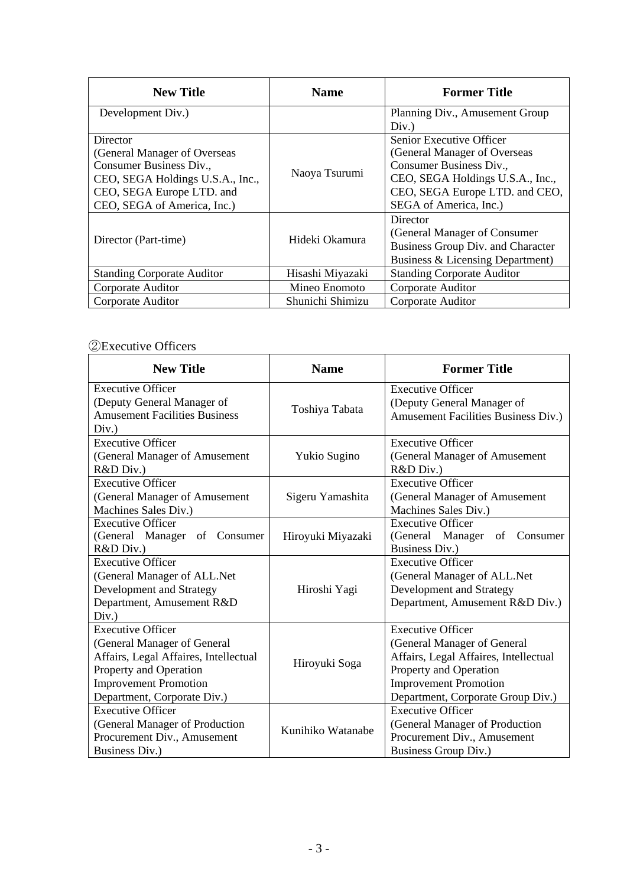| <b>New Title</b>                  | <b>Name</b>      | <b>Former Title</b>               |
|-----------------------------------|------------------|-----------------------------------|
| Development Div.)                 |                  | Planning Div., Amusement Group    |
|                                   |                  | Div.)                             |
| Director                          |                  | <b>Senior Executive Officer</b>   |
| (General Manager of Overseas      |                  | (General Manager of Overseas      |
| Consumer Business Div.,           |                  | Consumer Business Div.,           |
| CEO, SEGA Holdings U.S.A., Inc.,  | Naoya Tsurumi    | CEO, SEGA Holdings U.S.A., Inc.,  |
| CEO, SEGA Europe LTD. and         |                  | CEO, SEGA Europe LTD. and CEO,    |
| CEO, SEGA of America, Inc.)       |                  | SEGA of America, Inc.)            |
|                                   |                  | Director                          |
|                                   | Hideki Okamura   | (General Manager of Consumer      |
| Director (Part-time)              |                  | Business Group Div. and Character |
|                                   |                  | Business & Licensing Department)  |
| <b>Standing Corporate Auditor</b> | Hisashi Miyazaki | <b>Standing Corporate Auditor</b> |
| Corporate Auditor                 | Mineo Enomoto    | Corporate Auditor                 |
| Corporate Auditor                 | Shunichi Shimizu | Corporate Auditor                 |

## ②Executive Officers

| <b>New Title</b>                                                                                                                                                                          | <b>Name</b>       | <b>Former Title</b>                                                                                                                                                                             |
|-------------------------------------------------------------------------------------------------------------------------------------------------------------------------------------------|-------------------|-------------------------------------------------------------------------------------------------------------------------------------------------------------------------------------------------|
| Executive Officer<br>(Deputy General Manager of<br><b>Amusement Facilities Business</b><br>Div.)                                                                                          | Toshiya Tabata    | <b>Executive Officer</b><br>(Deputy General Manager of<br>Amusement Facilities Business Div.)                                                                                                   |
| <b>Executive Officer</b><br>(General Manager of Amusement<br>R&D Div.)                                                                                                                    | Yukio Sugino      | <b>Executive Officer</b><br>(General Manager of Amusement<br>R&D Div.)                                                                                                                          |
| <b>Executive Officer</b><br>(General Manager of Amusement<br>Machines Sales Div.)                                                                                                         | Sigeru Yamashita  | <b>Executive Officer</b><br>(General Manager of Amusement<br>Machines Sales Div.)                                                                                                               |
| <b>Executive Officer</b><br>(General Manager of Consumer<br>R&D Div.)                                                                                                                     | Hiroyuki Miyazaki | <b>Executive Officer</b><br>(General Manager)<br>of Consumer<br>Business Div.)                                                                                                                  |
| <b>Executive Officer</b><br>(General Manager of ALL.Net<br>Development and Strategy<br>Department, Amusement R&D<br>Div.)                                                                 | Hiroshi Yagi      | <b>Executive Officer</b><br>(General Manager of ALL.Net<br>Development and Strategy<br>Department, Amusement R&D Div.)                                                                          |
| <b>Executive Officer</b><br>(General Manager of General<br>Affairs, Legal Affaires, Intellectual<br>Property and Operation<br><b>Improvement Promotion</b><br>Department, Corporate Div.) | Hiroyuki Soga     | <b>Executive Officer</b><br>(General Manager of General<br>Affairs, Legal Affaires, Intellectual<br>Property and Operation<br><b>Improvement Promotion</b><br>Department, Corporate Group Div.) |
| <b>Executive Officer</b><br>(General Manager of Production<br>Procurement Div., Amusement<br>Business Div.)                                                                               | Kunihiko Watanabe | <b>Executive Officer</b><br>(General Manager of Production<br>Procurement Div., Amusement<br>Business Group Div.)                                                                               |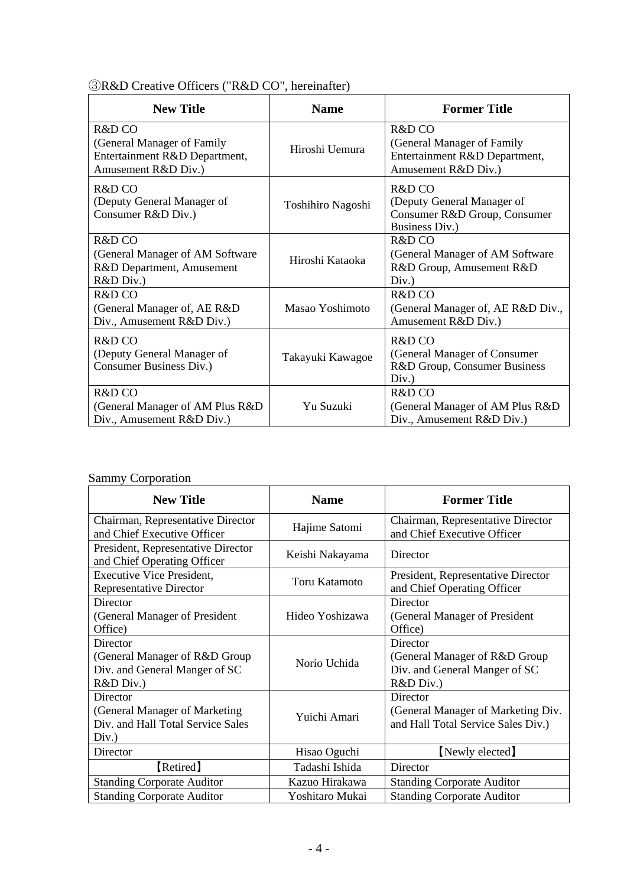| <b>New Title</b>                                                                             | <b>Name</b>       | <b>Former Title</b>                                                                          |
|----------------------------------------------------------------------------------------------|-------------------|----------------------------------------------------------------------------------------------|
| R&D CO<br>(General Manager of Family<br>Entertainment R&D Department,<br>Amusement R&D Div.) | Hiroshi Uemura    | R&D CO<br>(General Manager of Family<br>Entertainment R&D Department,<br>Amusement R&D Div.) |
| $R&D$ CO<br>(Deputy General Manager of<br>Consumer R&D Div.)                                 | Toshihiro Nagoshi | $R&D$ CO<br>(Deputy General Manager of<br>Consumer R&D Group, Consumer<br>Business Div.)     |
| $R&D$ CO<br>(General Manager of AM Software)<br>R&D Department, Amusement<br>R&D Div.)       | Hiroshi Kataoka   | $R\&D$ CO<br>(General Manager of AM Software<br>R&D Group, Amusement R&D<br>Div.)            |
| $R&D$ CO<br>(General Manager of, AE R&D<br>Div., Amusement R&D Div.)                         | Masao Yoshimoto   | $R&D$ CO<br>(General Manager of, AE R&D Div.,<br>Amusement R&D Div.)                         |
| $R&D$ CO<br>(Deputy General Manager of<br>Consumer Business Div.)                            | Takayuki Kawagoe  | $R&D$ CO<br>(General Manager of Consumer<br>R&D Group, Consumer Business<br>Div.)            |
| R&D CO<br>(General Manager of AM Plus R&D<br>Div., Amusement R&D Div.)                       | Yu Suzuki         | $R&D$ CO<br>(General Manager of AM Plus R&D)<br>Div., Amusement R&D Div.)                    |

## Sammy Corporation

| <b>New Title</b>                                                   | <b>Name</b>     | <b>Former Title</b>                                               |
|--------------------------------------------------------------------|-----------------|-------------------------------------------------------------------|
| Chairman, Representative Director<br>and Chief Executive Officer   | Hajime Satomi   | Chairman, Representative Director<br>and Chief Executive Officer  |
| President, Representative Director<br>and Chief Operating Officer  | Keishi Nakayama | Director                                                          |
| <b>Executive Vice President,</b><br><b>Representative Director</b> | Toru Katamoto   | President, Representative Director<br>and Chief Operating Officer |
| Director                                                           |                 | Director                                                          |
| (General Manager of President                                      | Hideo Yoshizawa | (General Manager of President                                     |
| Office)                                                            |                 | Office)                                                           |
| Director                                                           |                 | Director                                                          |
| (General Manager of R&D Group                                      | Norio Uchida    | (General Manager of R&D Group)                                    |
| Div. and General Manger of SC                                      |                 | Div. and General Manger of SC                                     |
| R&D Div.)                                                          |                 | R&D Div.)                                                         |
| Director                                                           |                 | Director                                                          |
| (General Manager of Marketing                                      | Yuichi Amari    | (General Manager of Marketing Div.                                |
| Div. and Hall Total Service Sales                                  |                 | and Hall Total Service Sales Div.)                                |
| Div.)                                                              |                 |                                                                   |
| Director                                                           | Hisao Oguchi    | [Newly elected]                                                   |
| [Retired]                                                          | Tadashi Ishida  | Director                                                          |
| <b>Standing Corporate Auditor</b>                                  | Kazuo Hirakawa  | <b>Standing Corporate Auditor</b>                                 |
| <b>Standing Corporate Auditor</b>                                  | Yoshitaro Mukai | <b>Standing Corporate Auditor</b>                                 |